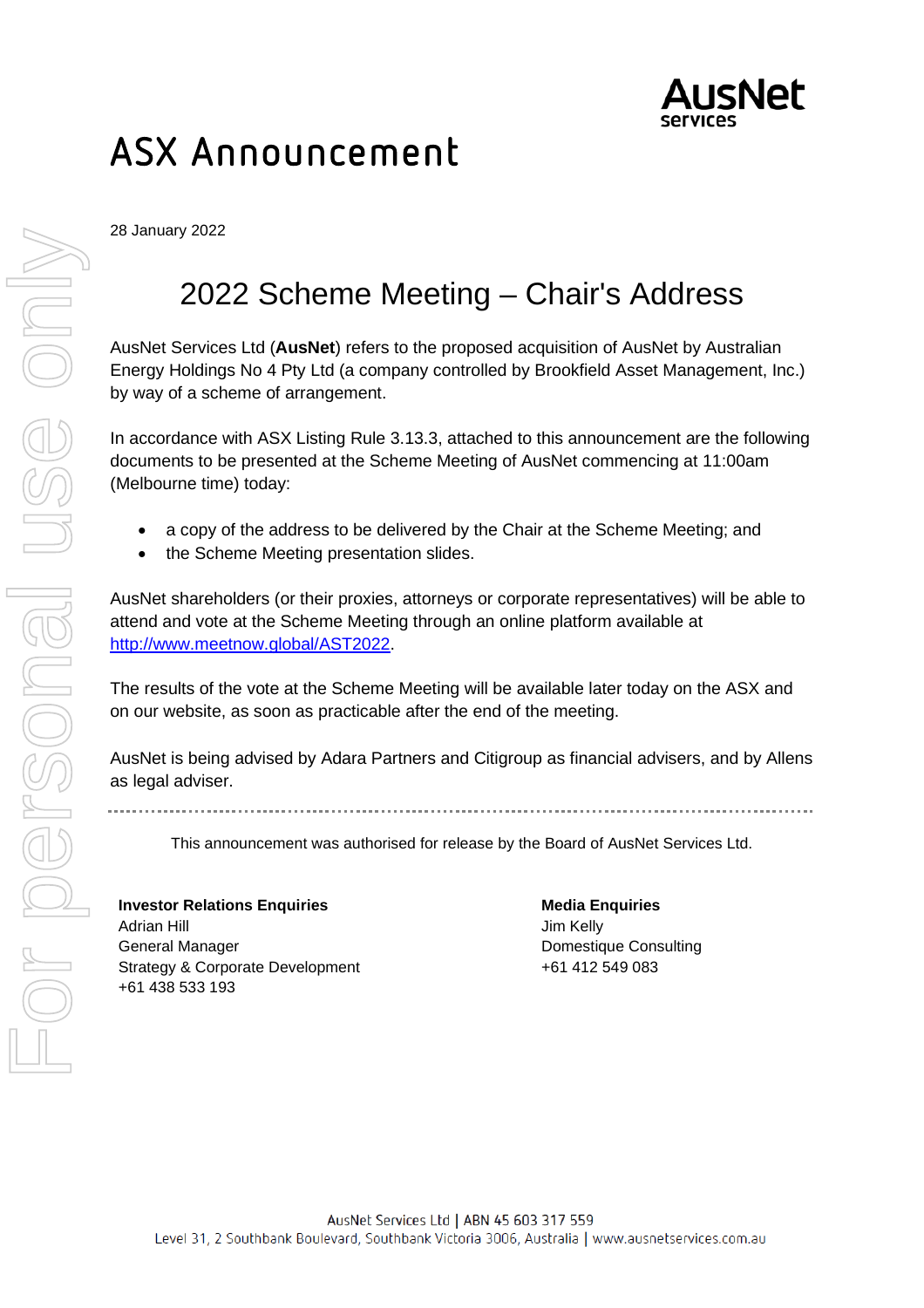

### ASX Announcement

28 January 2022

### 2022 Scheme Meeting – Chair's Address

AusNet Services Ltd (**AusNet**) refers to the proposed acquisition of AusNet by Australian Energy Holdings No 4 Pty Ltd (a company controlled by Brookfield Asset Management, Inc.) by way of a scheme of arrangement.

In accordance with ASX Listing Rule 3.13.3, attached to this announcement are the following documents to be presented at the Scheme Meeting of AusNet commencing at 11:00am (Melbourne time) today:

- a copy of the address to be delivered by the Chair at the Scheme Meeting; and
- the Scheme Meeting presentation slides.

AusNet shareholders (or their proxies, attorneys or corporate representatives) will be able to attend and vote at the Scheme Meeting through an online platform available at [http://www.meetnow.global/AST2022.](http://www.meetnow.global/AST2022)

The results of the vote at the Scheme Meeting will be available later today on the ASX and on our website, as soon as practicable after the end of the meeting.

AusNet is being advised by Adara Partners and Citigroup as financial advisers, and by Allens as legal adviser.

This announcement was authorised for release by the Board of AusNet Services Ltd.

### **Investor Relations Enquiries**  Adrian Hill General Manager Strategy & Corporate Development +61 438 533 193

**Media Enquiries** Jim Kelly Domestique Consulting +61 412 549 083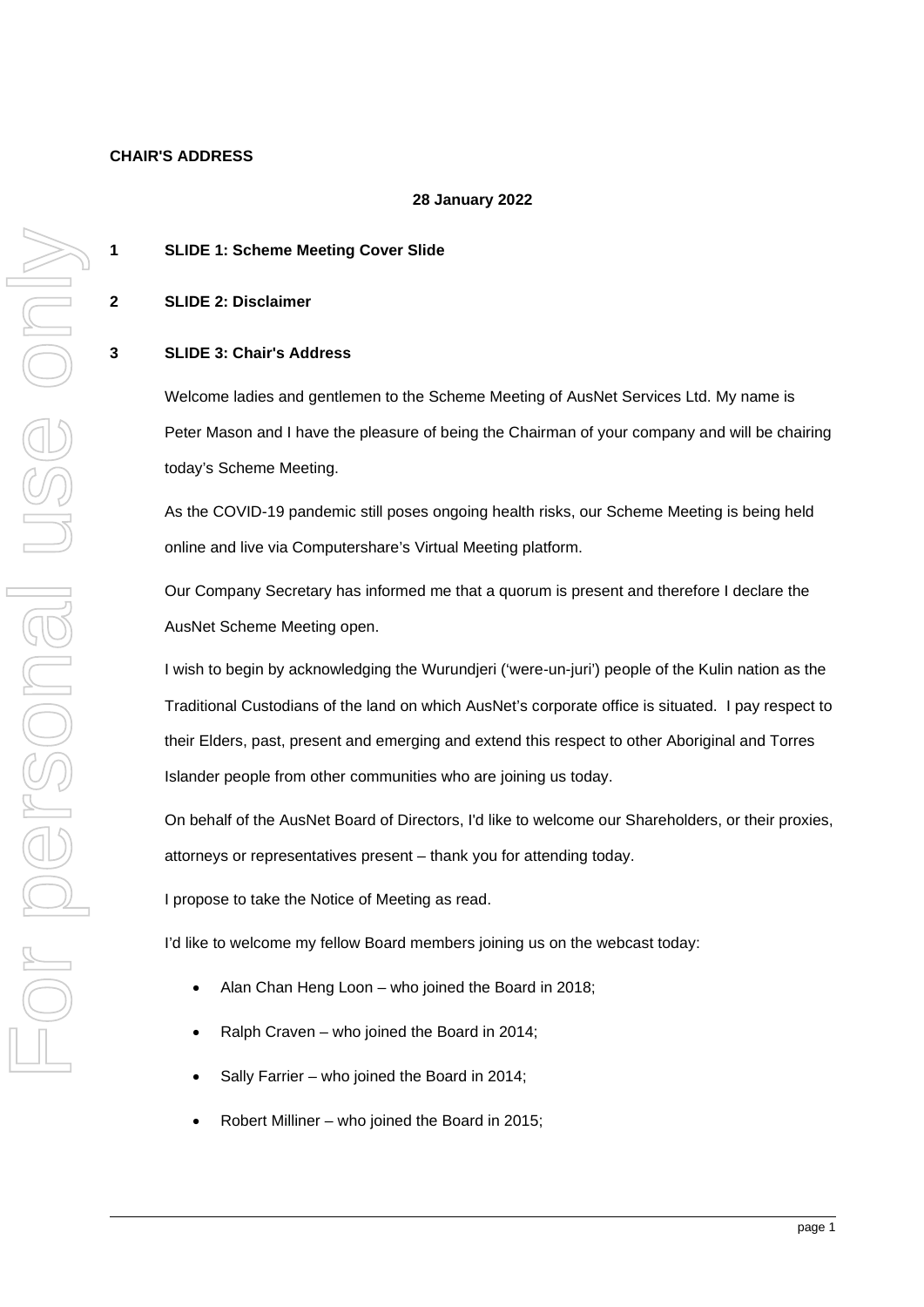### **CHAIR'S ADDRESS**

#### **28 January 2022**

### **1 SLIDE 1: Scheme Meeting Cover Slide**

**2 SLIDE 2: Disclaimer**

#### **3 SLIDE 3: Chair's Address**

Welcome ladies and gentlemen to the Scheme Meeting of AusNet Services Ltd. My name is Peter Mason and I have the pleasure of being the Chairman of your company and will be chairing today's Scheme Meeting.

As the COVID-19 pandemic still poses ongoing health risks, our Scheme Meeting is being held online and live via Computershare's Virtual Meeting platform.

Our Company Secretary has informed me that a quorum is present and therefore I declare the AusNet Scheme Meeting open.

I wish to begin by acknowledging the Wurundjeri ('were-un-juri') people of the Kulin nation as the Traditional Custodians of the land on which AusNet's corporate office is situated. I pay respect to their Elders, past, present and emerging and extend this respect to other Aboriginal and Torres Islander people from other communities who are joining us today.

On behalf of the AusNet Board of Directors, I'd like to welcome our Shareholders, or their proxies, attorneys or representatives present – thank you for attending today.

I propose to take the Notice of Meeting as read.

I'd like to welcome my fellow Board members joining us on the webcast today:

- Alan Chan Heng Loon who joined the Board in 2018;
- Ralph Craven who joined the Board in 2014;
- Sally Farrier who joined the Board in 2014;
- Robert Milliner who joined the Board in 2015;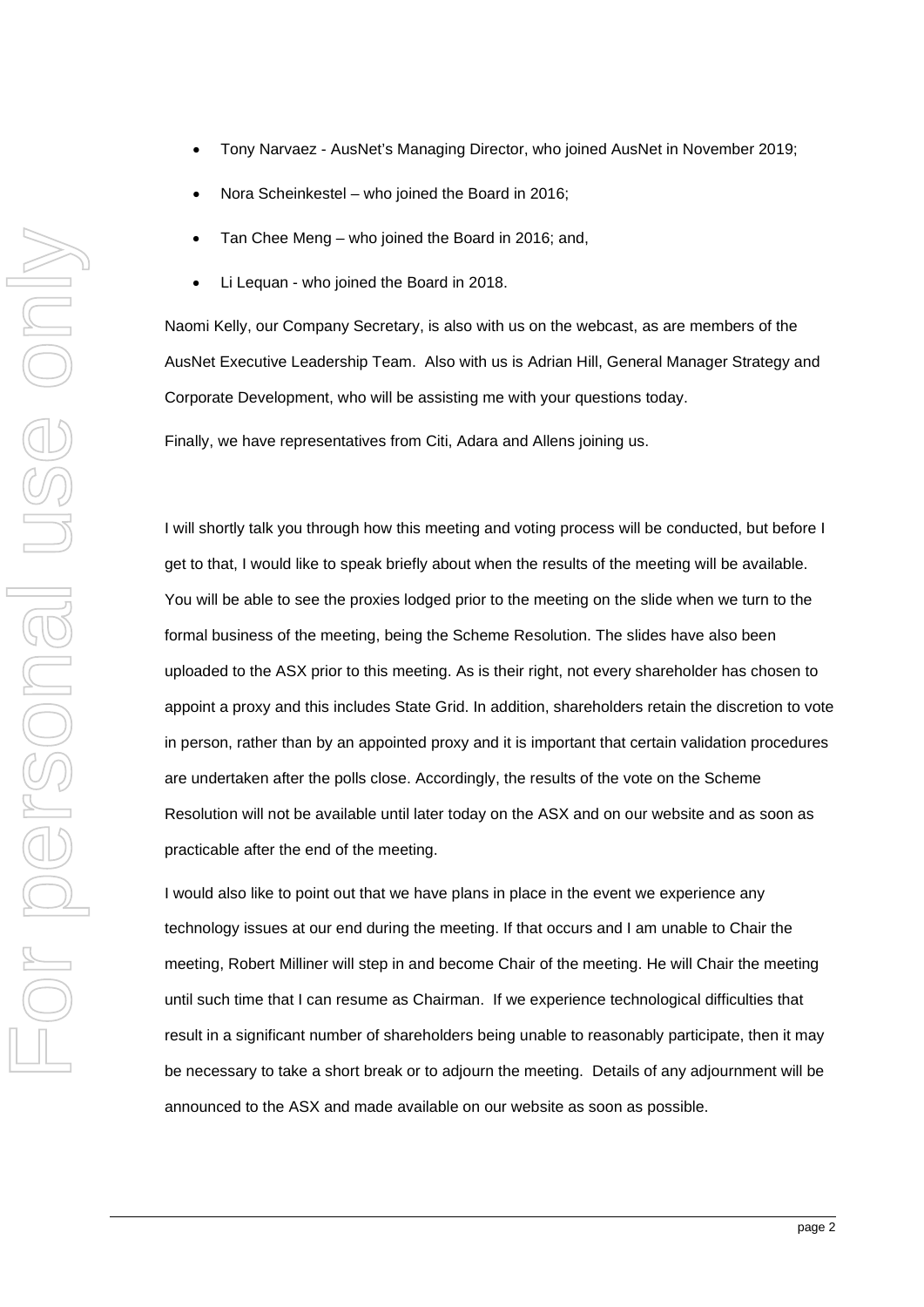- Tony Narvaez AusNet's Managing Director, who joined AusNet in November 2019;
- Nora Scheinkestel who joined the Board in 2016;
- Tan Chee Meng who joined the Board in 2016; and,
- Li Lequan who joined the Board in 2018.

Naomi Kelly, our Company Secretary, is also with us on the webcast, as are members of the AusNet Executive Leadership Team. Also with us is Adrian Hill, General Manager Strategy and Corporate Development, who will be assisting me with your questions today.

Finally, we have representatives from Citi, Adara and Allens joining us.

I will shortly talk you through how this meeting and voting process will be conducted, but before I get to that, I would like to speak briefly about when the results of the meeting will be available. You will be able to see the proxies lodged prior to the meeting on the slide when we turn to the formal business of the meeting, being the Scheme Resolution. The slides have also been uploaded to the ASX prior to this meeting. As is their right, not every shareholder has chosen to appoint a proxy and this includes State Grid. In addition, shareholders retain the discretion to vote in person, rather than by an appointed proxy and it is important that certain validation procedures are undertaken after the polls close. Accordingly, the results of the vote on the Scheme Resolution will not be available until later today on the ASX and on our website and as soon as practicable after the end of the meeting.

I would also like to point out that we have plans in place in the event we experience any technology issues at our end during the meeting. If that occurs and I am unable to Chair the meeting, Robert Milliner will step in and become Chair of the meeting. He will Chair the meeting until such time that I can resume as Chairman. If we experience technological difficulties that result in a significant number of shareholders being unable to reasonably participate, then it may be necessary to take a short break or to adjourn the meeting. Details of any adjournment will be announced to the ASX and made available on our website as soon as possible.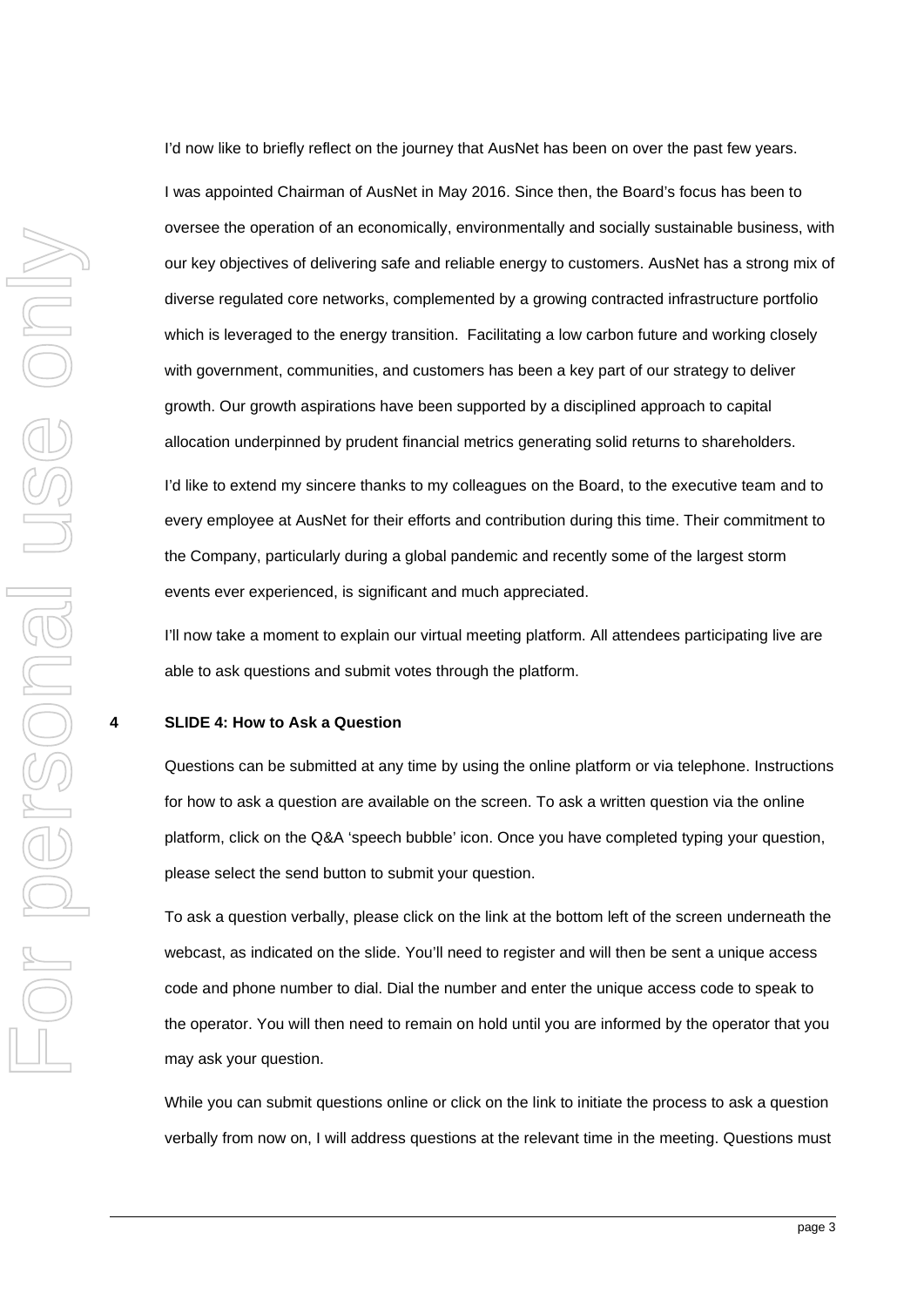I'd now like to briefly reflect on the journey that AusNet has been on over the past few years.

I was appointed Chairman of AusNet in May 2016. Since then, the Board's focus has been to oversee the operation of an economically, environmentally and socially sustainable business, with our key objectives of delivering safe and reliable energy to customers. AusNet has a strong mix of diverse regulated core networks, complemented by a growing contracted infrastructure portfolio which is leveraged to the energy transition. Facilitating a low carbon future and working closely with government, communities, and customers has been a key part of our strategy to deliver growth. Our growth aspirations have been supported by a disciplined approach to capital allocation underpinned by prudent financial metrics generating solid returns to shareholders.

I'd like to extend my sincere thanks to my colleagues on the Board, to the executive team and to every employee at AusNet for their efforts and contribution during this time. Their commitment to the Company, particularly during a global pandemic and recently some of the largest storm events ever experienced, is significant and much appreciated.

I'll now take a moment to explain our virtual meeting platform. All attendees participating live are able to ask questions and submit votes through the platform.

#### **4 SLIDE 4: How to Ask a Question**

Questions can be submitted at any time by using the online platform or via telephone. Instructions for how to ask a question are available on the screen. To ask a written question via the online platform, click on the Q&A 'speech bubble' icon. Once you have completed typing your question, please select the send button to submit your question.

To ask a question verbally, please click on the link at the bottom left of the screen underneath the webcast, as indicated on the slide. You'll need to register and will then be sent a unique access code and phone number to dial. Dial the number and enter the unique access code to speak to the operator. You will then need to remain on hold until you are informed by the operator that you may ask your question.

While you can submit questions online or click on the link to initiate the process to ask a question verbally from now on, I will address questions at the relevant time in the meeting. Questions must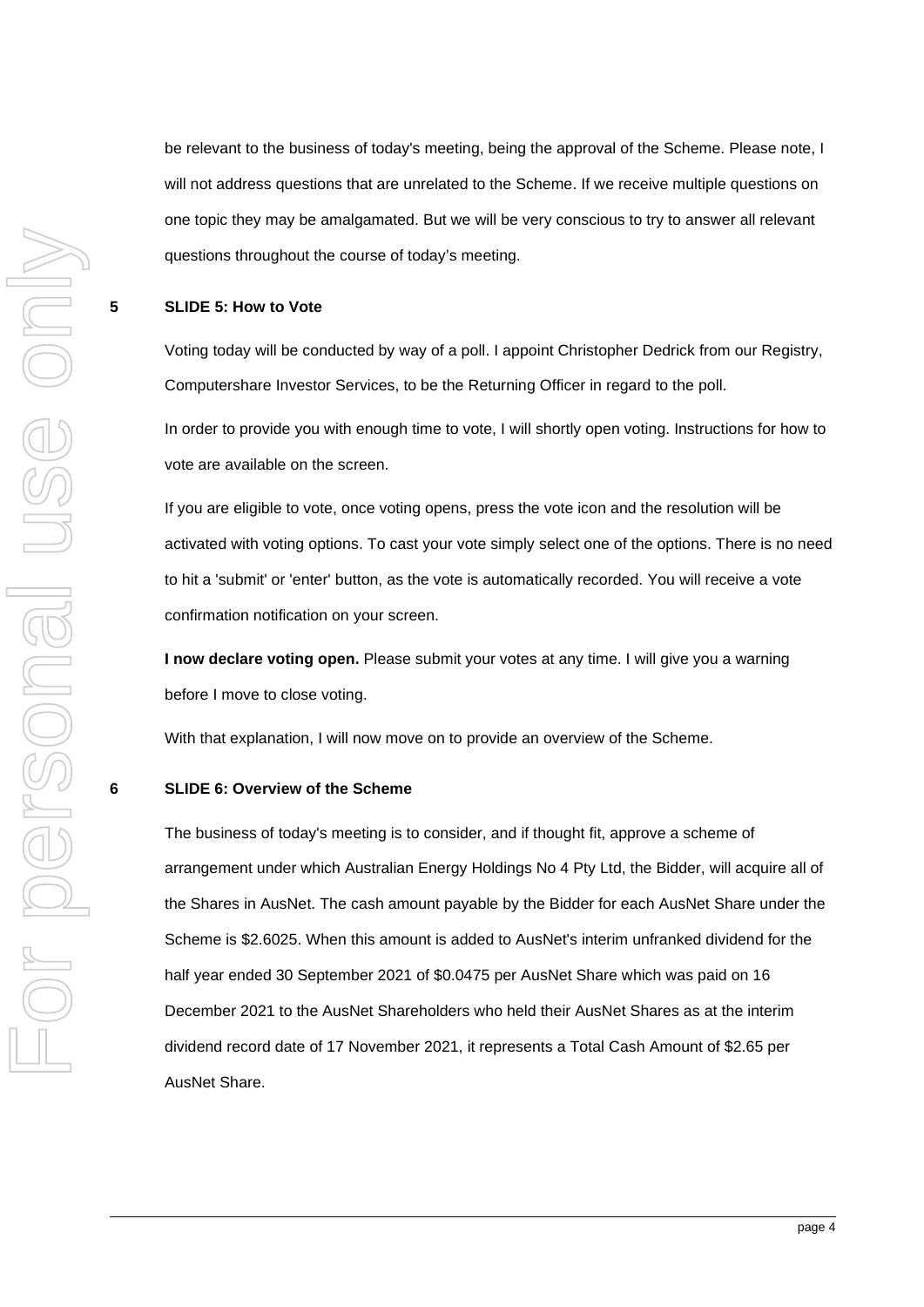be relevant to the business of today's meeting, being the approval of the Scheme. Please note, I will not address questions that are unrelated to the Scheme. If we receive multiple questions on one topic they may be amalgamated. But we will be very conscious to try to answer all relevant questions throughout the course of today's meeting.

#### **5 SLIDE 5: How to Vote**

Voting today will be conducted by way of a poll. I appoint Christopher Dedrick from our Registry, Computershare Investor Services, to be the Returning Officer in regard to the poll.

In order to provide you with enough time to vote, I will shortly open voting. Instructions for how to vote are available on the screen.

If you are eligible to vote, once voting opens, press the vote icon and the resolution will be activated with voting options. To cast your vote simply select one of the options. There is no need to hit a 'submit' or 'enter' button, as the vote is automatically recorded. You will receive a vote confirmation notification on your screen.

**I now declare voting open.** Please submit your votes at any time. I will give you a warning before I move to close voting.

With that explanation, I will now move on to provide an overview of the Scheme.

#### **6 SLIDE 6: Overview of the Scheme**

The business of today's meeting is to consider, and if thought fit, approve a scheme of arrangement under which Australian Energy Holdings No 4 Pty Ltd, the Bidder, will acquire all of the Shares in AusNet. The cash amount payable by the Bidder for each AusNet Share under the Scheme is \$2.6025. When this amount is added to AusNet's interim unfranked dividend for the half year ended 30 September 2021 of \$0.0475 per AusNet Share which was paid on 16 December 2021 to the AusNet Shareholders who held their AusNet Shares as at the interim dividend record date of 17 November 2021, it represents a Total Cash Amount of \$2.65 per AusNet Share.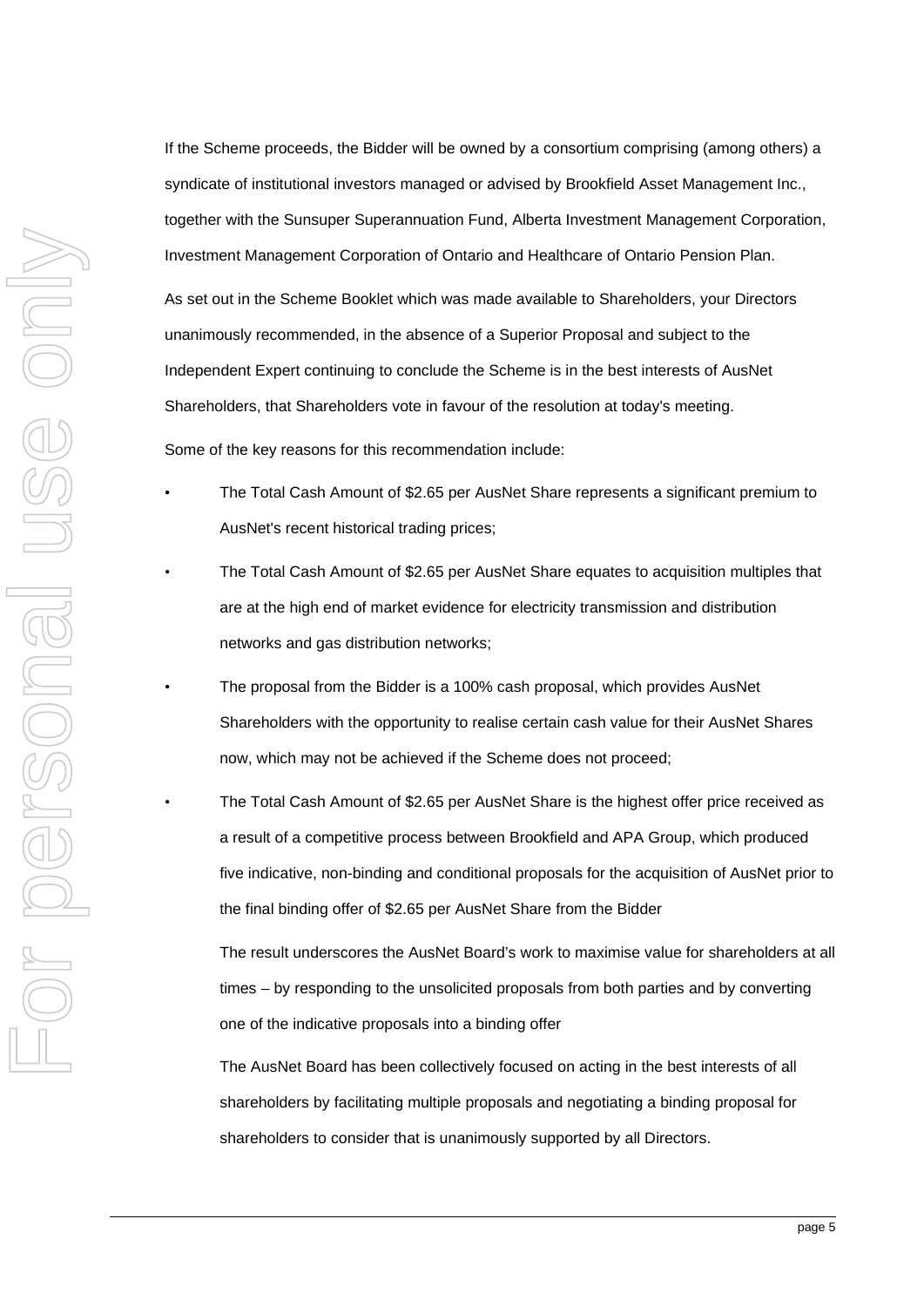If the Scheme proceeds, the Bidder will be owned by a consortium comprising (among others) a syndicate of institutional investors managed or advised by Brookfield Asset Management Inc., together with the Sunsuper Superannuation Fund, Alberta Investment Management Corporation, Investment Management Corporation of Ontario and Healthcare of Ontario Pension Plan. As set out in the Scheme Booklet which was made available to Shareholders, your Directors unanimously recommended, in the absence of a Superior Proposal and subject to the Independent Expert continuing to conclude the Scheme is in the best interests of AusNet Shareholders, that Shareholders vote in favour of the resolution at today's meeting.

Some of the key reasons for this recommendation include:

- The Total Cash Amount of \$2.65 per AusNet Share represents a significant premium to AusNet's recent historical trading prices;
- The Total Cash Amount of \$2.65 per AusNet Share equates to acquisition multiples that are at the high end of market evidence for electricity transmission and distribution networks and gas distribution networks;
- The proposal from the Bidder is a 100% cash proposal, which provides AusNet Shareholders with the opportunity to realise certain cash value for their AusNet Shares now, which may not be achieved if the Scheme does not proceed;
- The Total Cash Amount of \$2.65 per AusNet Share is the highest offer price received as a result of a competitive process between Brookfield and APA Group, which produced five indicative, non-binding and conditional proposals for the acquisition of AusNet prior to the final binding offer of \$2.65 per AusNet Share from the Bidder

The result underscores the AusNet Board's work to maximise value for shareholders at all times – by responding to the unsolicited proposals from both parties and by converting one of the indicative proposals into a binding offer

The AusNet Board has been collectively focused on acting in the best interests of all shareholders by facilitating multiple proposals and negotiating a binding proposal for shareholders to consider that is unanimously supported by all Directors.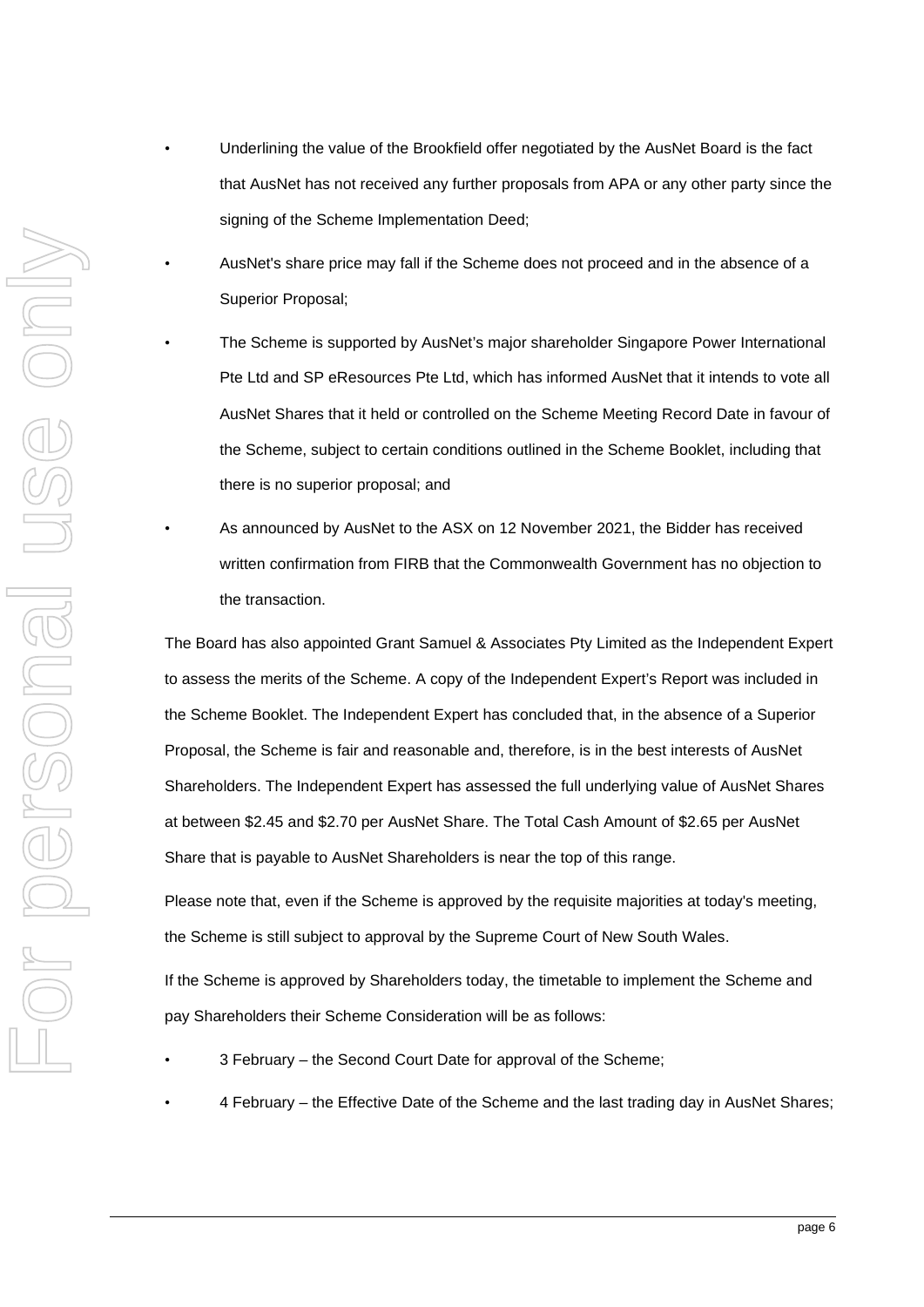- Underlining the value of the Brookfield offer negotiated by the AusNet Board is the fact that AusNet has not received any further proposals from APA or any other party since the signing of the Scheme Implementation Deed;
- AusNet's share price may fall if the Scheme does not proceed and in the absence of a Superior Proposal;
- The Scheme is supported by AusNet's major shareholder Singapore Power International Pte Ltd and SP eResources Pte Ltd, which has informed AusNet that it intends to vote all AusNet Shares that it held or controlled on the Scheme Meeting Record Date in favour of the Scheme, subject to certain conditions outlined in the Scheme Booklet, including that there is no superior proposal; and
- As announced by AusNet to the ASX on 12 November 2021, the Bidder has received written confirmation from FIRB that the Commonwealth Government has no objection to the transaction.

The Board has also appointed Grant Samuel & Associates Pty Limited as the Independent Expert to assess the merits of the Scheme. A copy of the Independent Expert's Report was included in the Scheme Booklet. The Independent Expert has concluded that, in the absence of a Superior Proposal, the Scheme is fair and reasonable and, therefore, is in the best interests of AusNet Shareholders. The Independent Expert has assessed the full underlying value of AusNet Shares at between \$2.45 and \$2.70 per AusNet Share. The Total Cash Amount of \$2.65 per AusNet Share that is payable to AusNet Shareholders is near the top of this range.

Please note that, even if the Scheme is approved by the requisite majorities at today's meeting, the Scheme is still subject to approval by the Supreme Court of New South Wales.

If the Scheme is approved by Shareholders today, the timetable to implement the Scheme and pay Shareholders their Scheme Consideration will be as follows:

- 3 February the Second Court Date for approval of the Scheme;
- 4 February the Effective Date of the Scheme and the last trading day in AusNet Shares;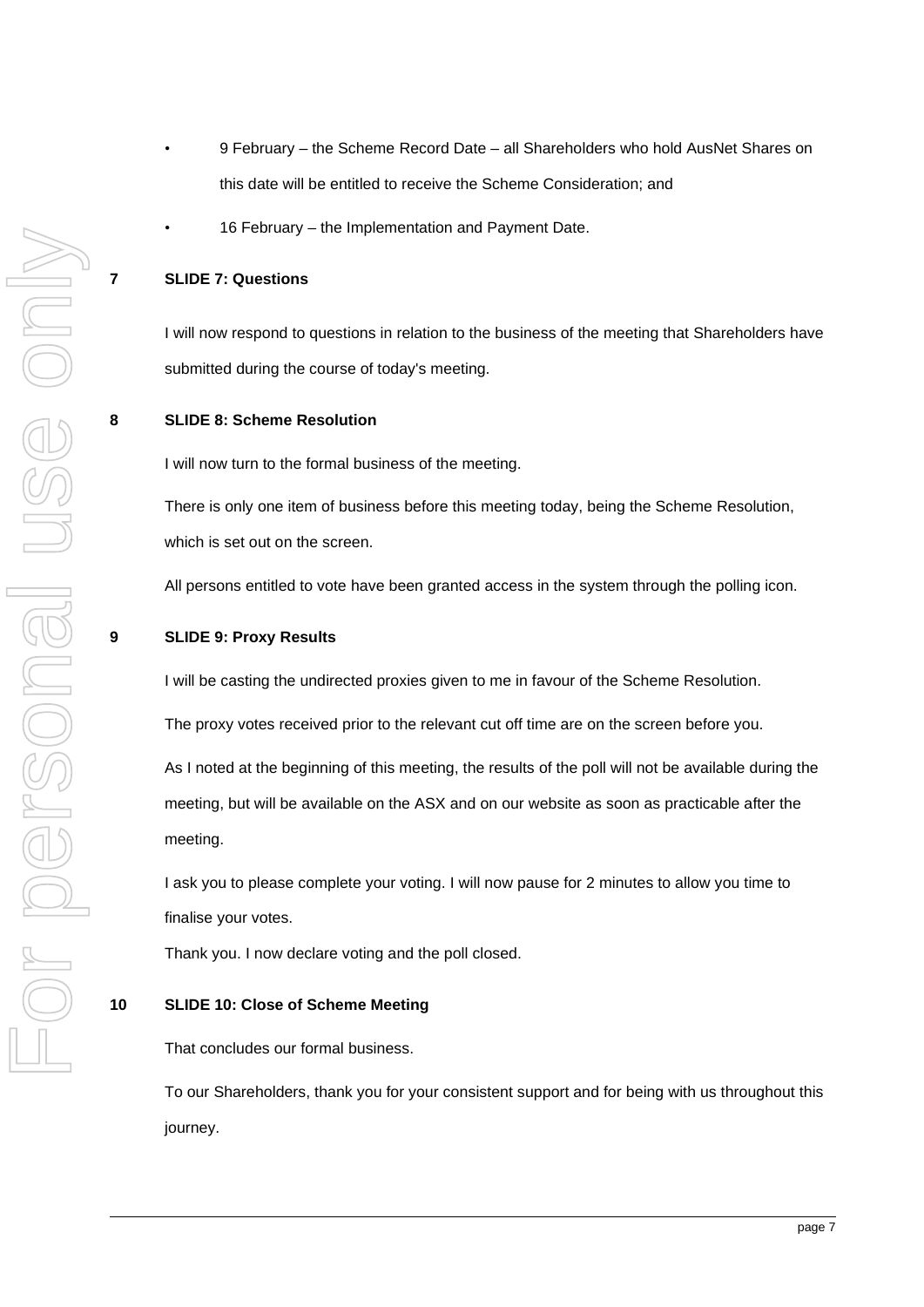- 9 February the Scheme Record Date all Shareholders who hold AusNet Shares on this date will be entitled to receive the Scheme Consideration; and
- 16 February the Implementation and Payment Date.

### **7 SLIDE 7: Questions**

I will now respond to questions in relation to the business of the meeting that Shareholders have submitted during the course of today's meeting.

#### **8 SLIDE 8: Scheme Resolution**

I will now turn to the formal business of the meeting.

There is only one item of business before this meeting today, being the Scheme Resolution, which is set out on the screen.

All persons entitled to vote have been granted access in the system through the polling icon.

#### **9 SLIDE 9: Proxy Results**

I will be casting the undirected proxies given to me in favour of the Scheme Resolution.

The proxy votes received prior to the relevant cut off time are on the screen before you.

As I noted at the beginning of this meeting, the results of the poll will not be available during the meeting, but will be available on the ASX and on our website as soon as practicable after the meeting.

I ask you to please complete your voting. I will now pause for 2 minutes to allow you time to finalise your votes.

Thank you. I now declare voting and the poll closed.

### **10 SLIDE 10: Close of Scheme Meeting**

That concludes our formal business.

To our Shareholders, thank you for your consistent support and for being with us throughout this journey.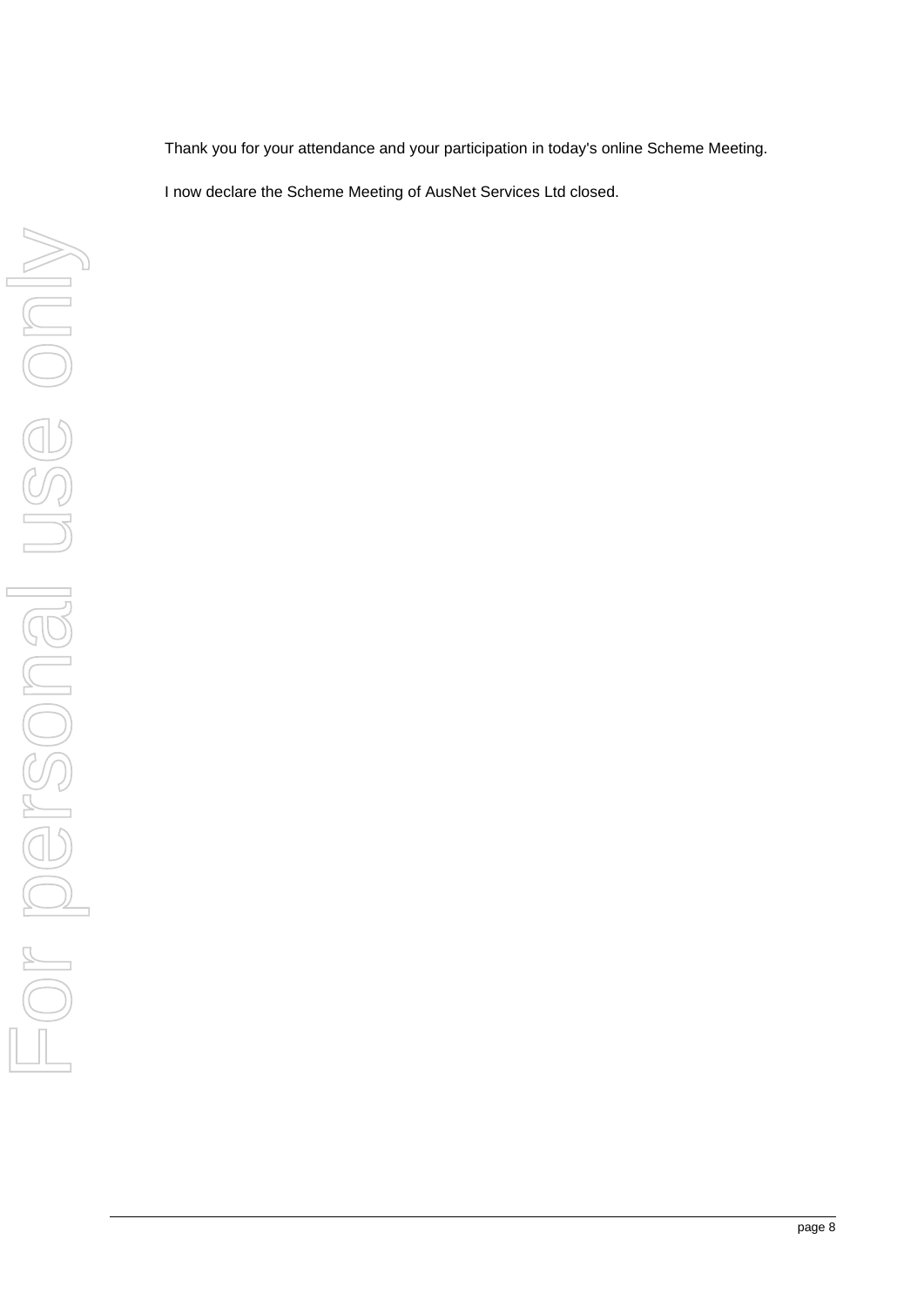Thank you for your attendance and your participation in today's online Scheme Meeting.

I now declare the Scheme Meeting of AusNet Services Ltd closed.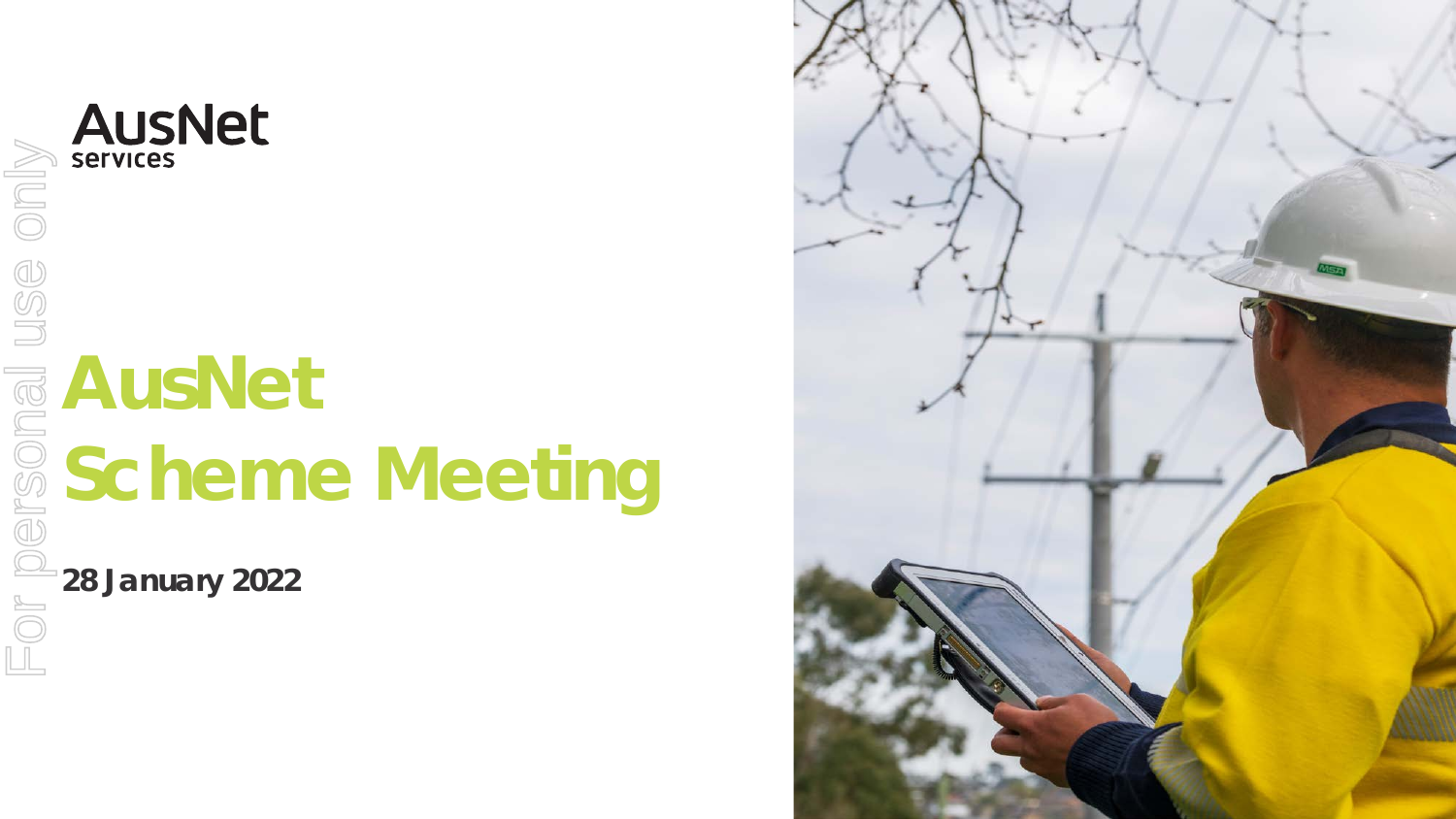# **AusNet Scheme Meeting**

**28 January 2022**

**AUSNet** 

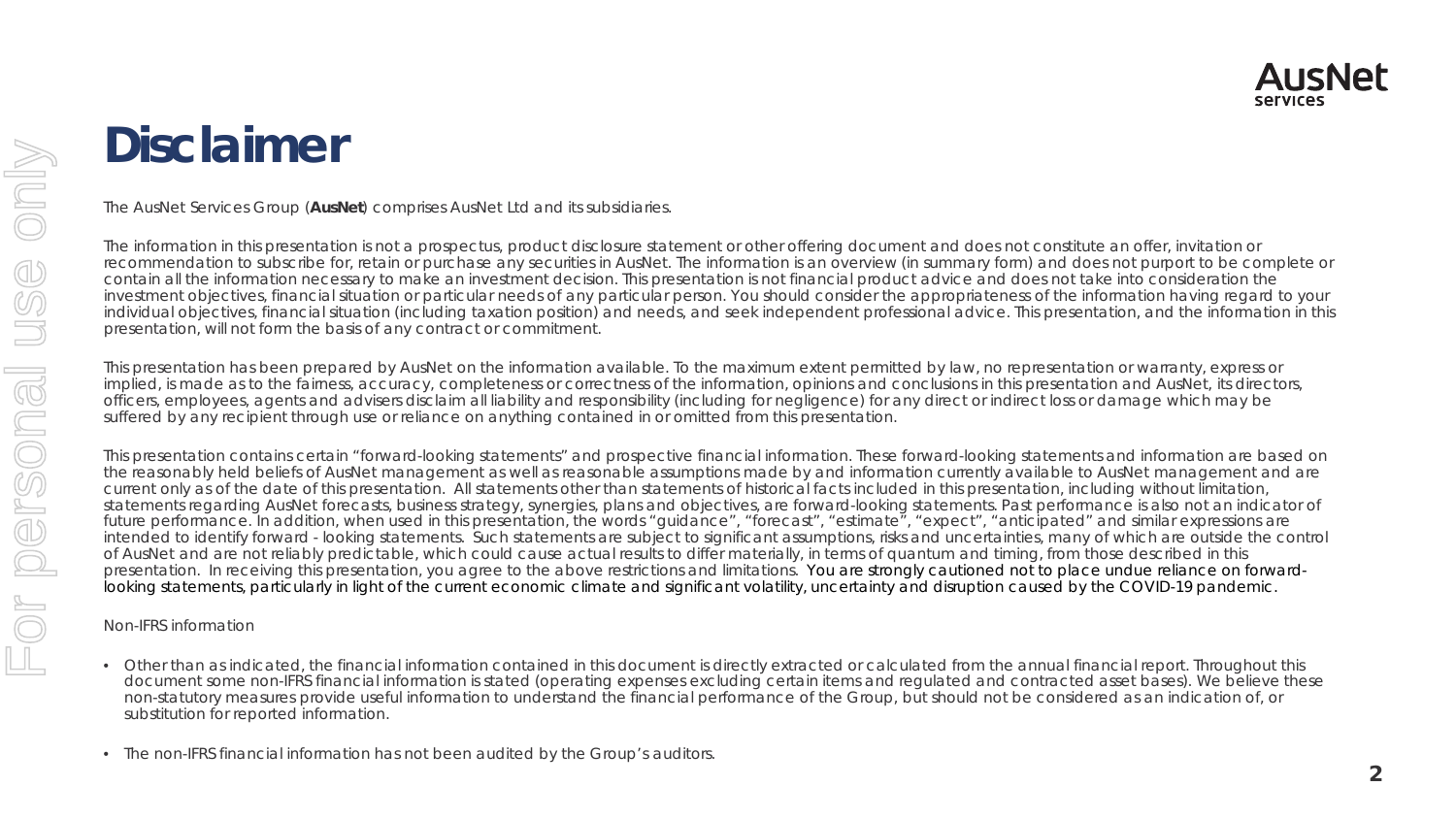### **Disclaimer**

The AusNet Services Group (**AusNet**) comprises AusNet Ltd and its subsidiaries.

The information in this presentation is not a prospectus, product disclosure statement or other offering document and does not constitute an offer, invitation or recommendation to subscribe for, retain or purchase any securities in AusNet. The information is an overview (in summary form) and does not purport to be complete or contain all the information necessary to make an investment decision. This presentation is not financial product advice and does not take into consideration the investment objectives, financial situation or particular needs of any particular person. You should consider the appropriateness of the information having regard to your individual objectives, financial situation (including taxation position) and needs, and seek independent professional advice. This presentation, and the information in this presentation, will not form the basis of any contract or commitment.

This presentation has been prepared by AusNet on the information available. To the maximum extent permitted by law, no representation or warranty, express or implied, is made as to the fairness, accuracy, completeness or correctness of the information, opinions and conclusions in this presentation and AusNet, its directors, officers, employees, agents and advisers disclaim all liability and responsibility (including for negligence) for any direct or indirect loss or damage which may be suffered by any recipient through use or reliance on anything contained in or omitted from this presentation.

This presentation contains certain "forward-looking statements" and prospective financial information. These forward-looking statements and information are based on the reasonably held beliefs of AusNet management as well as reasonable assumptions made by and information currently available to AusNet management and are current only as of the date of this presentation. All statements other than statements of historical facts included in this presentation, including without limitation, statements regarding AusNet forecasts, business strategy, synergies, plans and objectives, are forward-looking statements. Past performance is also not an indicator of future performance. In addition, when used in this presentation, the words "quidance", "forecast", "estimate", "expect", "anticipated" and similar expressions are intended to identify forward - looking statements. Such statements are subject to significant assumptions, risks and uncertainties, many of which are outside the control of AusNet and are not reliably predictable, which could cause actual results to differ materially, in terms of quantum and timing, from those described in this presentation. In receiving this presentation, you agree to the above restrictions and limitations. You are strongly cautioned not to place undue reliance on forwardlooking statements, particularly in light of the current economic climate and significant volatility, uncertainty and disruption caused by the COVID-19 pandemic.

### Non-IFRS information

- Other than as indicated, the financial information contained in this document is directly extracted or calculated from the annual financial report. Throughout this document some non-IFRS financial information is stated (operating expenses excluding certain items and regulated and contracted asset bases). We believe these non-statutory measures provide useful information to understand the financial performance of the Group, but should not be considered as an indication of, or substitution for reported information.
- The non-IFRS financial information has not been audited by the Group's auditors.

**AusNet** 

**Services**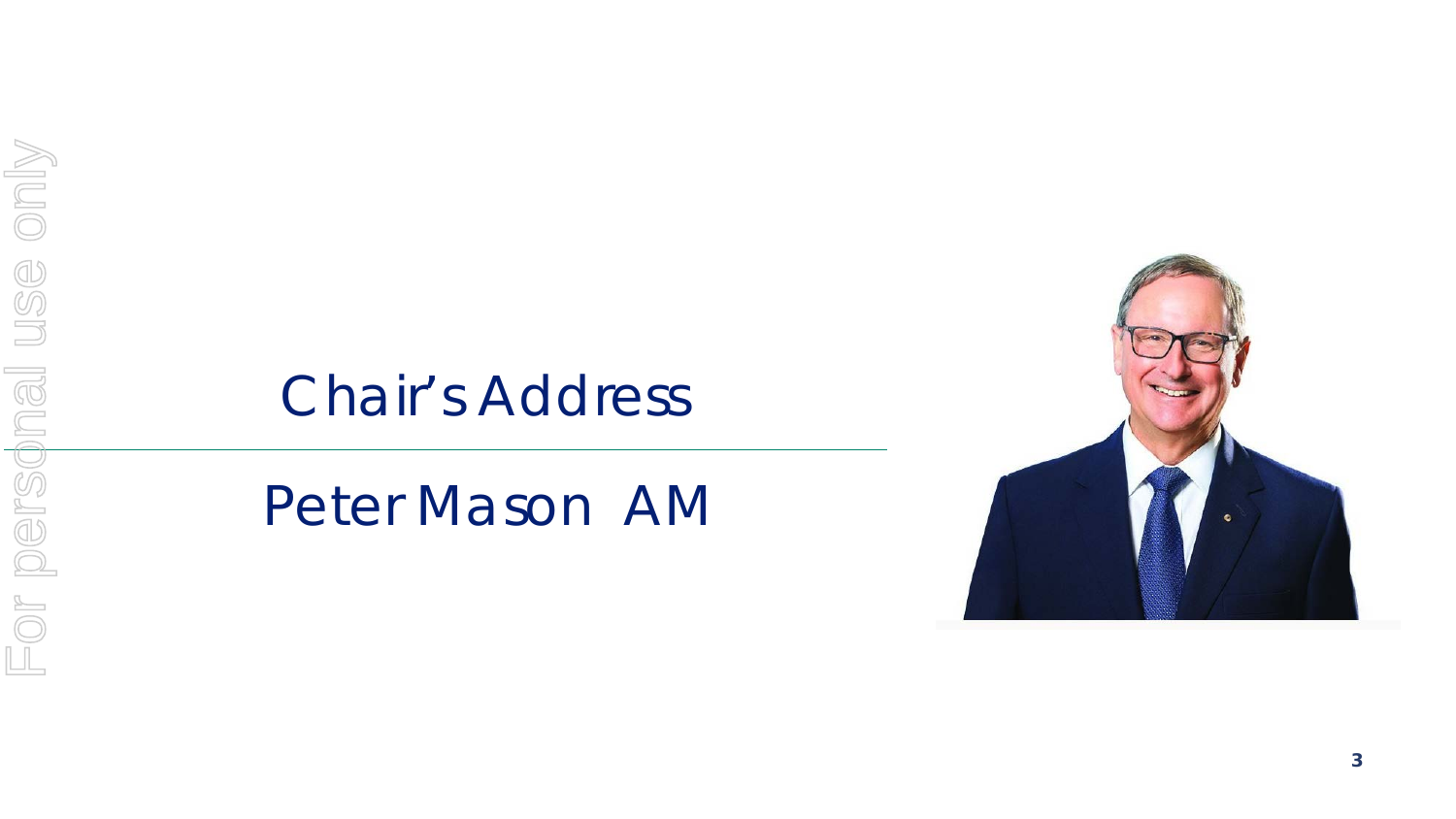### Chair's Address

*Peter Mason AM*

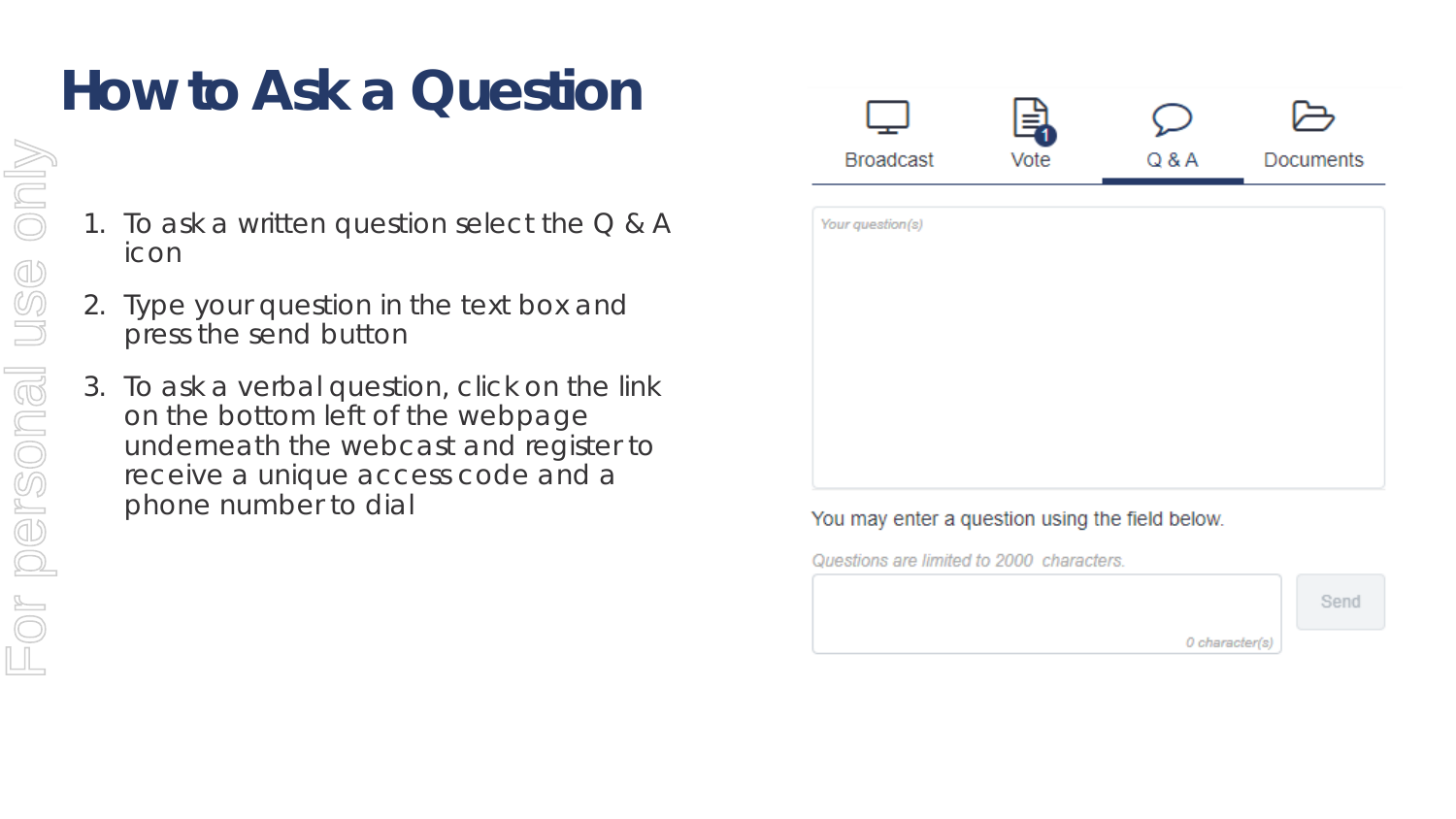## **How to Ask a Question**

- 1. To ask a written question select the  $Q & A$ icon
- 2. Type your question in the text box and press the send button
- 3. To ask a verbal question, click on the link on the bottom left of the webpage underneath the webcast and register to receive a unique access code and a phone number to dial

|                  | 与    |       |                  |
|------------------|------|-------|------------------|
| <b>Broadcast</b> | Vote | Q & A | <b>Documents</b> |
| Your question(s) |      |       |                  |
|                  |      |       |                  |
|                  |      |       |                  |
|                  |      |       |                  |
|                  |      |       |                  |
|                  |      |       |                  |
|                  |      |       |                  |
|                  |      |       |                  |

### You may enter a question using the field below.

Questions are limited to 2000 characters.



only For personal use onlyUSG For personal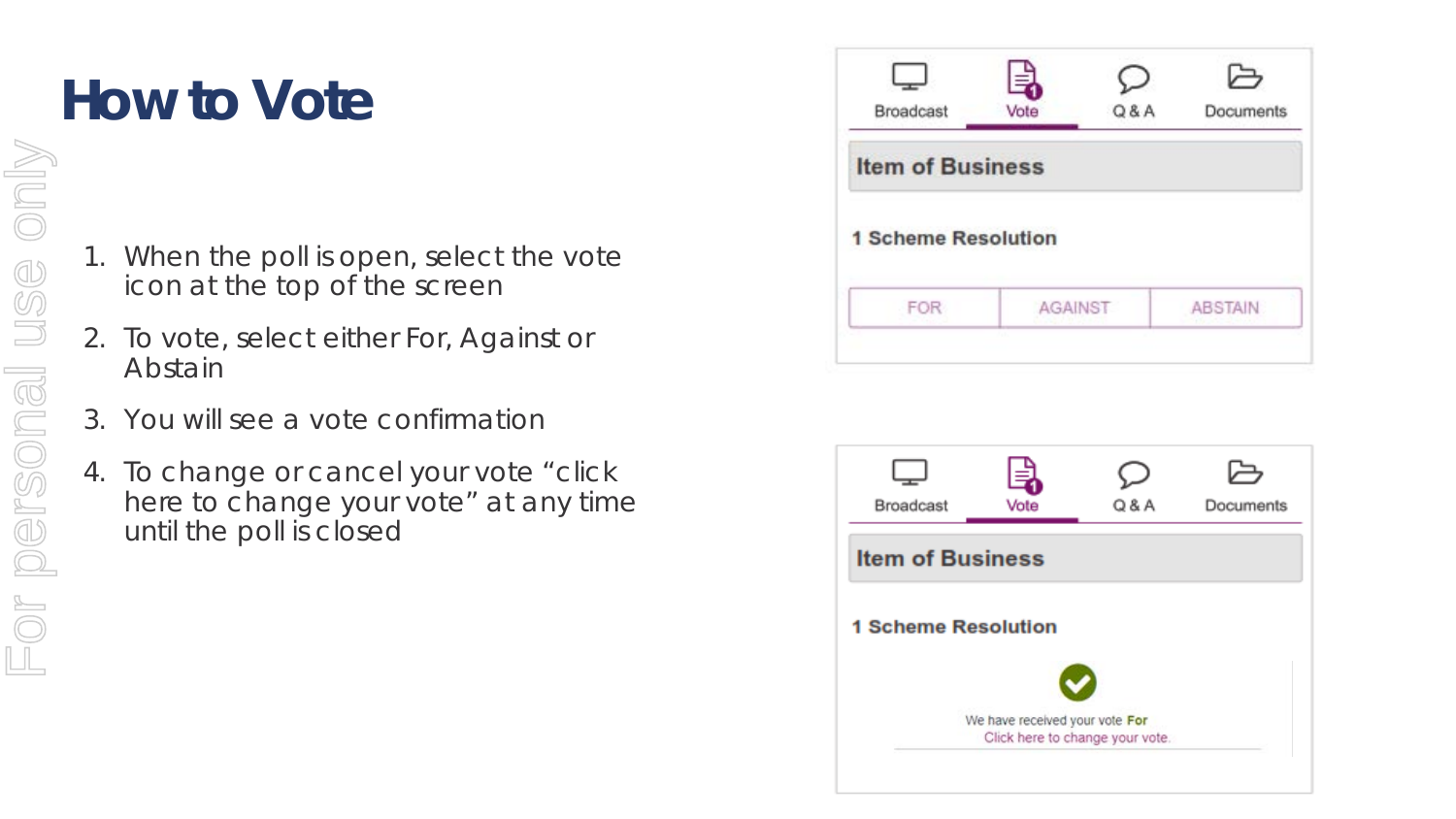# **How to Vote**

- 1. When the poll is open, select the vote icon at the top of the screen
- 2. To vote, select either For, Against or Abstain
- 3. You will see a vote confirmation
- 4. To change or cancel your vote "click here to change your vote" at any time until the poll is closed

| Broadcast                  | 릫<br>Vote | Q & A | ら<br>Documents |  |  |
|----------------------------|-----------|-------|----------------|--|--|
| <b>Item of Business</b>    |           |       |                |  |  |
|                            |           |       |                |  |  |
| <b>1 Scheme Resolution</b> |           |       |                |  |  |

|                                 | 크                              |       |           |  |  |  |
|---------------------------------|--------------------------------|-------|-----------|--|--|--|
| Broadcast                       | Vote                           | Q & A | Documents |  |  |  |
| <b>Item of Business</b>         |                                |       |           |  |  |  |
| <b>1 Scheme Resolution</b>      |                                |       |           |  |  |  |
|                                 | We have received your vote For |       |           |  |  |  |
| Click here to change your vote. |                                |       |           |  |  |  |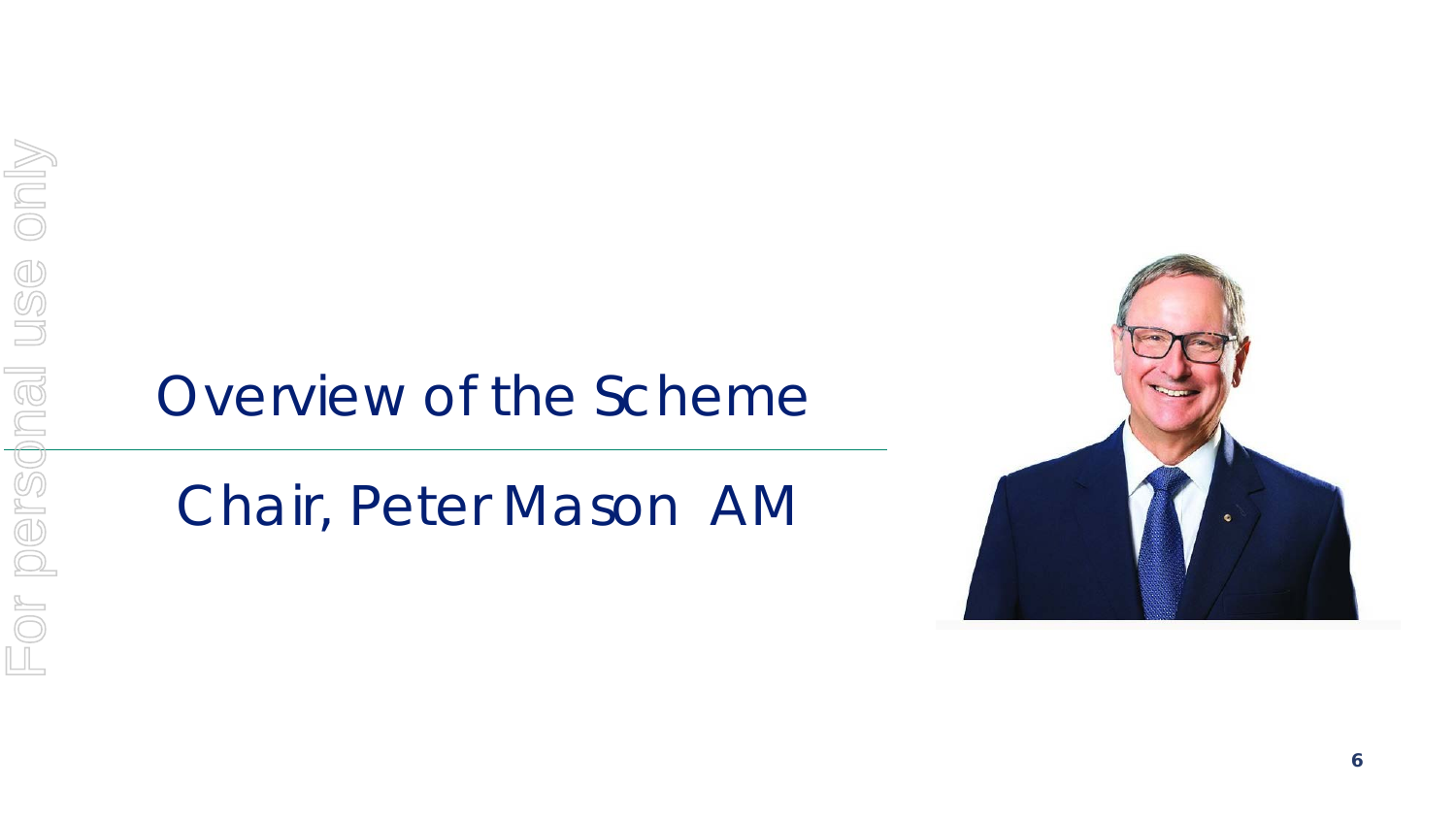### Overview of the Scheme

### *Chair, Peter Mason AM*

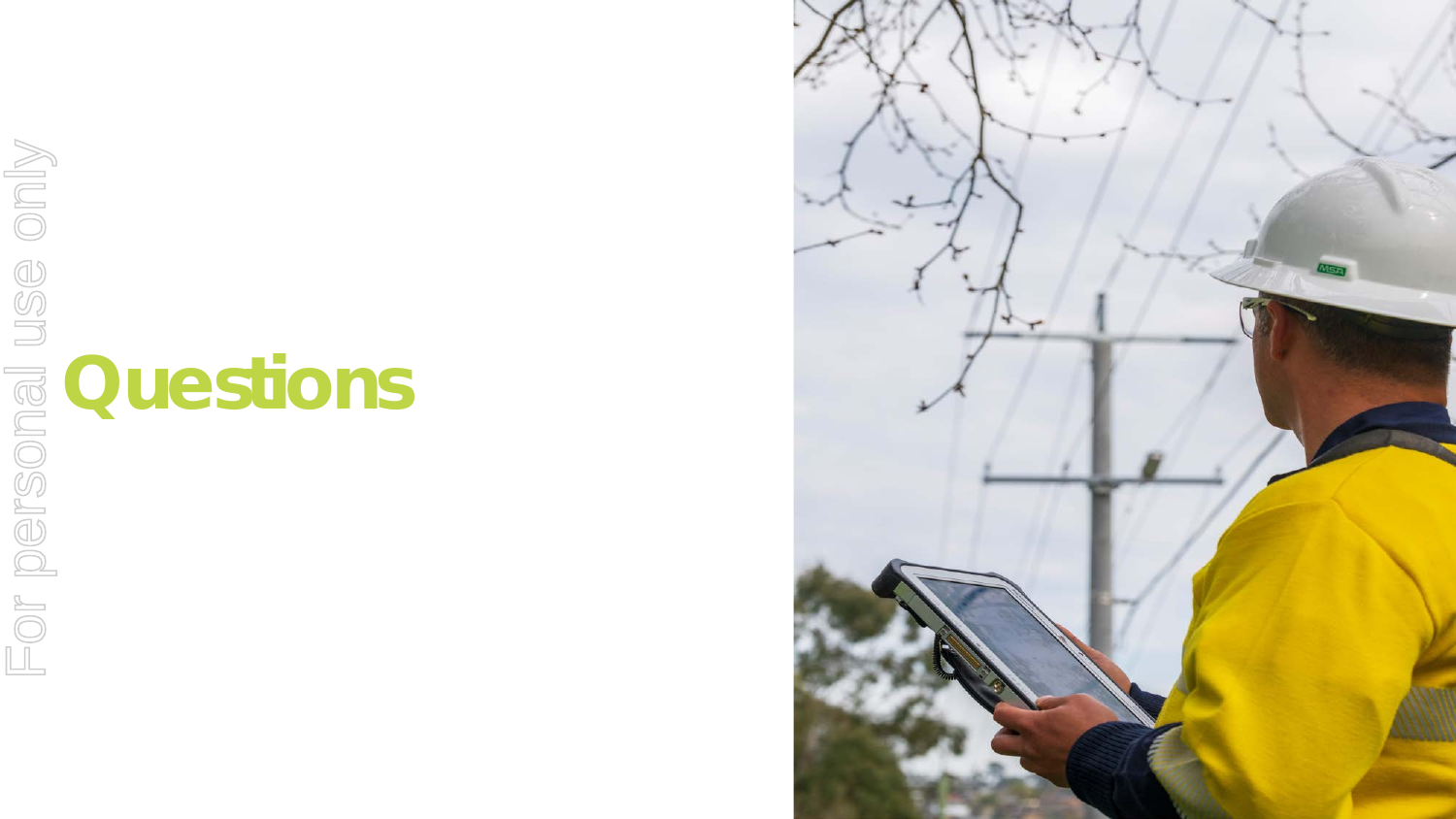**Questions** For personal use only

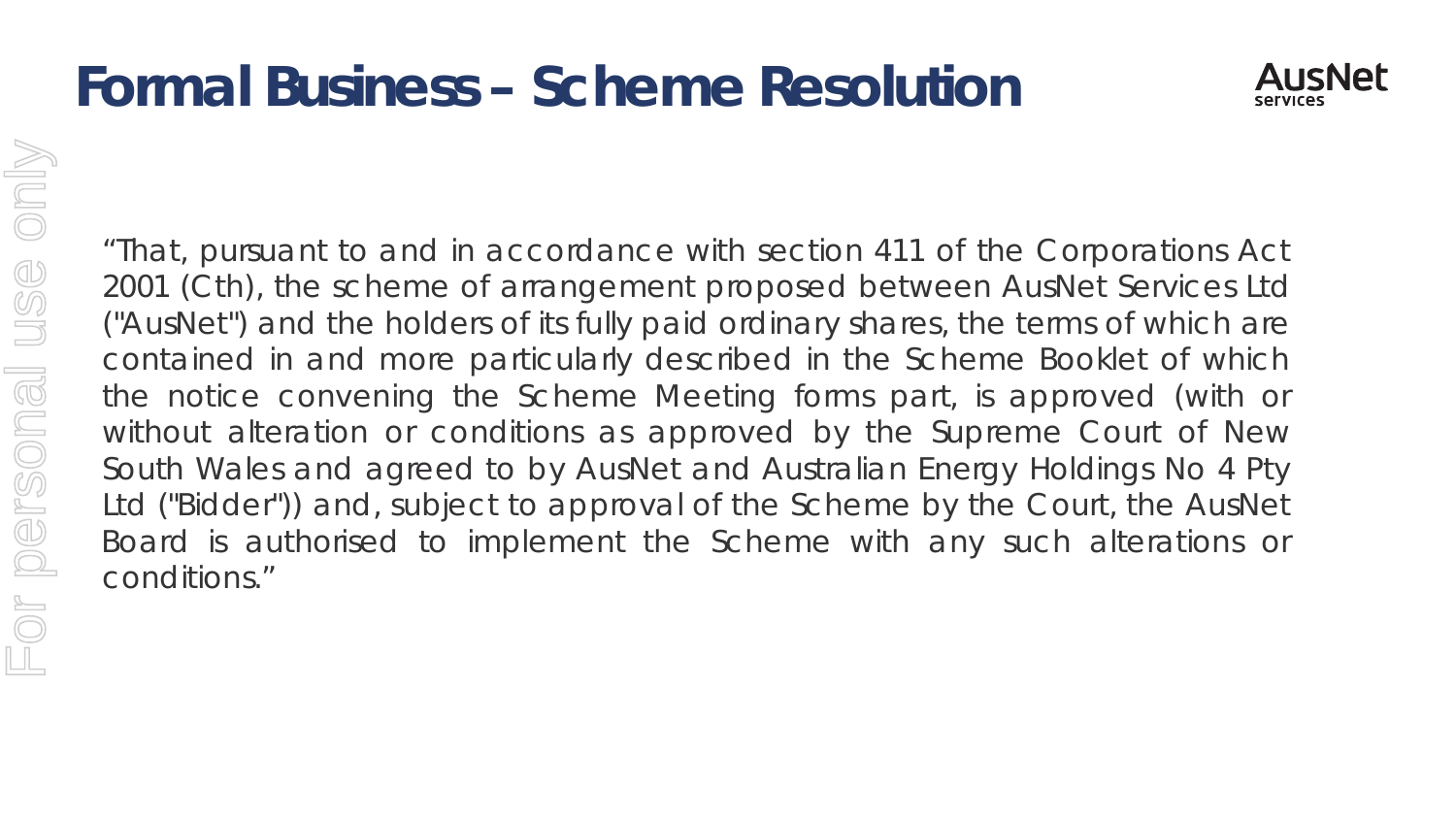### **Formal Business – Scheme Resolution**



Only For personal use onlyUSS For personal conditions."

"That, pursuant to and in accordance with section 411 of the Corporations Act 2001 (Cth), the scheme of arrangement proposed between AusNet Services Ltd ("AusNet") and the holders of its fully paid ordinary shares, the terms of which are contained in and more particularly described in the Scheme Booklet of which the notice convening the Scheme Meeting forms part, is approved (with or without alteration or conditions as approved by the Supreme Court of New South Wales and agreed to by AusNet and Australian Energy Holdings No 4 Pty Ltd ("Bidder")) and, subject to approval of the Scheme by the Court, the AusNet Board is authorised to implement the Scheme with any such alterations or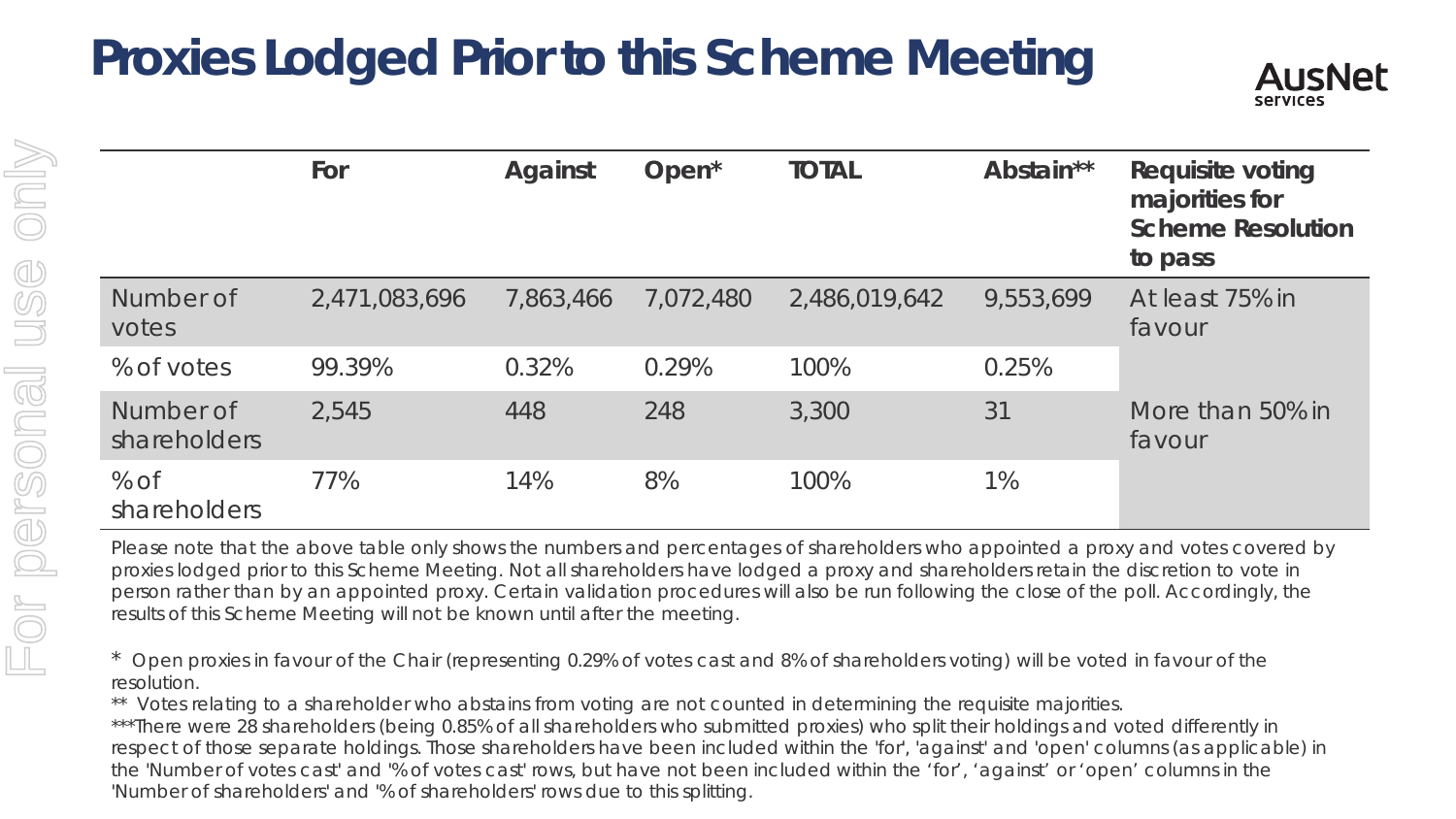### **Proxies Lodged Prior to this Scheme Meeting**



|                           | For           | <b>Against</b> | Open <sup>*</sup> | <b>TOTAL</b>  | Abstain** | <b>Requisite voting</b><br>majorities for<br><b>Scheme Resolution</b><br>to pass |
|---------------------------|---------------|----------------|-------------------|---------------|-----------|----------------------------------------------------------------------------------|
| Number of<br>votes        | 2,471,083,696 | 7,863,466      | 7,072,480         | 2,486,019,642 | 9,553,699 | At least 75% in<br>favour                                                        |
| % of votes                | 99.39%        | 0.32%          | 0.29%             | 100%          | 0.25%     |                                                                                  |
| Number of<br>shareholders | 2,545         | 448            | 248               | 3,300         | 31        | More than 50% in<br>favour                                                       |
| $%$ of<br>shareholders    | 77%           | 14%            | 8%                | 100%          | $1\%$     |                                                                                  |

Please note that the above table only shows the numbers and percentages of shareholders who appointed a proxy and votes covered by proxies lodged prior to this Scheme Meeting. Not all shareholders have lodged a proxy and shareholders retain the discretion to vote in person rather than by an appointed proxy. Certain validation procedures will also be run following the close of the poll. Accordingly, the results of this Scheme Meeting will not be known until after the meeting.

\* Open proxies in favour of the Chair (representing 0.29% of votes cast and 8% of shareholders voting) will be voted in favour of the resolution.

\*\* Votes relating to a shareholder who abstains from voting are not counted in determining the requisite majorities.

\*\*\*There were 28 shareholders (being 0.85% of all shareholders who submitted proxies) who split their holdings and voted differently in respect of those separate holdings. Those shareholders have been included within the 'for', 'against' and 'open' columns (as applicable) in the 'Number of votes cast' and '% of votes cast' rows, but have not been included within the 'for', 'against' or 'open' columns in the 'Number of shareholders' and '% of shareholders' rows due to this splitting.